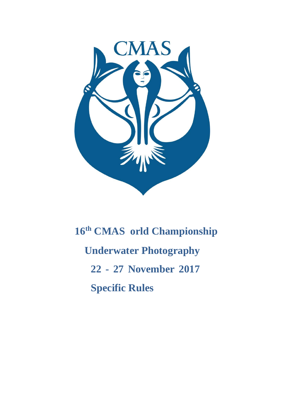

# **16th CMAS orld Championship Underwater Photography 22 - 27 November 2017 Specific Rules**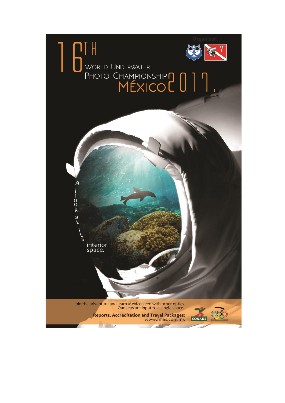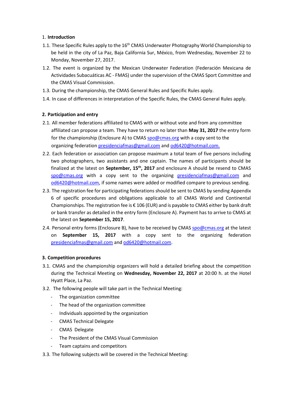# 1. **Introduction**

- 1.1. These Specific Rules apply to the 16<sup>th</sup> CMAS Underwater Photography World Championship to be held in the city of La Paz, Baja California Sur, México, from Wednesday, November 22 to Monday, November 27, 2017.
- 1.2. The event is organized by the Mexican Underwater Federation (Federación Mexicana de Actividades Subacuáticas AC - FMAS) under the supervision of the CMAS Sport Committee and the CMAS Visual Commission.
- 1.3. During the championship, the CMAS General Rules and Specific Rules apply.
- 1.4. In case of differences in interpretation of the Specific Rules, the CMAS General Rules apply.

# **2. Participation and entry**

- 2.1. All member federations affiliated to CMAS with or without vote and from any committee affiliated can propose a team. They have to return no later than **May 31, 2017** the entry form for the championship (Enclosure A) to CMAS spo@cmas.org with a copy sent to the organizing federation presidenciafmas@gmail.com and od6420@hotmail.com.
- 2.2. Each federation or association can propose maximum a total team of five persons including two photographers, two assistants and one captain. The names of participants should be finalized at the latest on **September, 15th, 2017** and enclosure A should be resend to CMAS spo@cmas.org with a copy sent to the organizing presidenciafmas@gmail.com and od6420@hotmail.com, if some names were added or modified compare to previous sending.
- 2.3. The registration fee for participating federations should be sent to CMAS by sending Appendix 6 of specific procedures and obligations applicable to all CMAS World and Continental Championships. The registration fee is  $\epsilon$  106 (EUR) and is payable to CMAS either by bank draft or bank transfer as detailed in the entry form (Enclosure A). Payment has to arrive to CMAS at the latest on **September 15, 2017**.
- 2.4. Personal entry forms (Enclosure B), have to be received by CMAS spo@cmas.org at the latest on **September 15, 2017** with a copy sent to the organizing federation presidenciafmas@gmail.com and od6420@hotmail.com.

# **3. Competition procedures**

- 3.1. CMAS and the championship organizers will hold a detailed briefing about the competition during the Technical Meeting on **Wednesday, November 22, 2017** at 20:00 h. at the Hotel Hyatt Place, La Paz.
- 3.2. The following people will take part in the Technical Meeting:
	- The organization committee
	- The head of the organization committee
	- Individuals appointed by the organization
	- CMAS Technical Delegate
	- CMAS Delegate
	- The President of the CMAS Visual Commission
	- Team captains and competitors
- 3.3. The following subjects will be covered in the Technical Meeting: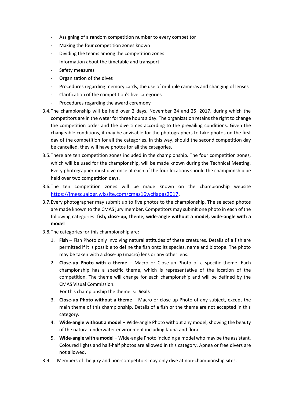- Assigning of a random competition number to every competitor
- Making the four competition zones known
- Dividing the teams among the competition zones
- Information about the timetable and transport
- Safety measures
- Organization of the dives
- Procedures regarding memory cards, the use of multiple cameras and changing of lenses
- Clarification of the competition's five categories
- Procedures regarding the award ceremony
- 3.4.The championship will be held over 2 days, November 24 and 25, 2017, during which the competitors are in the water for three hours a day. The organization retains the right to change the competition order and the dive times according to the prevailing conditions. Given the changeable conditions, it may be advisable for the photographers to take photos on the first day of the competition for all the categories. In this way, should the second competition day be cancelled, they will have photos for all the categories.
- 3.5.There are ten competition zones included in the championship. The four competition zones, which will be used for the championship, will be made known during the Technical Meeting. Every photographer must dive once at each of the four locations should the championship be held over two competition days.
- 3.6.The ten competition zones will be made known on the championship website [https://jmescualogr.wixsite.com/cmas16wcflapaz2017.](https://jmescualogr.wixsite.com/cmas16wcflapaz2017)
- 3.7.Every photographer may submit up to five photos to the championship. The selected photos are made known to the CMAS jury member. Competitors may submit one photo in each of the following categories: **fish, close-up, theme, wide-angle without a model, wide-angle with a model**
- 3.8.The categories for this championship are:
	- 1. **Fish** Fish Photo only involving natural attitudes of these creatures. Details of a fish are permitted if it is possible to define the fish onto its species, name and biotope. The photo may be taken with a close-up (macro) lens or any other lens.
	- 2. **Close-up Photo with a theme** Macro or Close-up Photo of a specific theme. Each championship has a specific theme, which is representative of the location of the competition. The theme will change for each championship and will be defined by the CMAS Visual Commission.

For this championship the theme is: **Seals**

- 3. **Close-up Photo without a theme** Macro or close-up Photo of any subject, except the main theme of this championship. Details of a fish or the theme are not accepted in this category.
- 4. **Wide-angle without a model** Wide-angle Photo without any model, showing the beauty of the natural underwater environment including fauna and flora.
- 5. **Wide-angle with a model** Wide-angle Photo including a model who may be the assistant. Coloured lights and half-half photos are allowed in this category. Apnea or free divers are not allowed.
- 3.9. Members of the jury and non-competitors may only dive at non-championship sites.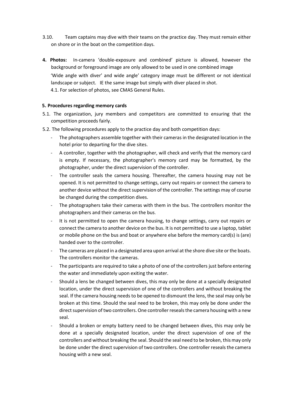- 3.10. Team captains may dive with their teams on the practice day. They must remain either on shore or in the boat on the competition days.
- **4. Photos:** In-camera 'double-exposure and combined' picture is allowed, however the background or foreground image are only allowed to be used in one combined image 'Wide angle with diver' and wide angle' category image must be different or not identical landscape or subject. IE the same image but simply with diver placed in shot. 4.1. For selection of photos, see CMAS General Rules.

#### **5. Procedures regarding memory cards**

- 5.1. The organization, jury members and competitors are committed to ensuring that the competition proceeds fairly.
- 5.2. The following procedures apply to the practice day and both competition days:
	- The photographers assemble together with their cameras in the designated location in the hotel prior to departing for the dive sites.
	- A controller, together with the photographer, will check and verify that the memory card is empty. If necessary, the photographer's memory card may be formatted, by the photographer, under the direct supervision of the controller.
	- The controller seals the camera housing. Thereafter, the camera housing may not be opened. It is not permitted to change settings, carry out repairs or connect the camera to another device without the direct supervision of the controller. The settings may of course be changed during the competition dives.
	- The photographers take their cameras with them in the bus. The controllers monitor the photographers and their cameras on the bus.
	- It is not permitted to open the camera housing, to change settings, carry out repairs or connect the camera to another device on the bus. It is not permitted to use a laptop, tablet or mobile phone on the bus and boat or anywhere else before the memory card(s) is (are) handed over to the controller.
	- The cameras are placed in a designated area upon arrival at the shore dive site or the boats. The controllers monitor the cameras.
	- The participants are required to take a photo of one of the controllers just before entering the water and immediately upon exiting the water.
	- Should a lens be changed between dives, this may only be done at a specially designated location, under the direct supervision of one of the controllers and without breaking the seal. If the camera housing needs to be opened to dismount the lens, the seal may only be broken at this time. Should the seal need to be broken, this may only be done under the direct supervision of two controllers. One controller reseals the camera housing with a new seal.
	- Should a broken or empty battery need to be changed between dives, this may only be done at a specially designated location, under the direct supervision of one of the controllers and without breaking the seal. Should the seal need to be broken, this may only be done under the direct supervision of two controllers. One controller reseals the camera housing with a new seal.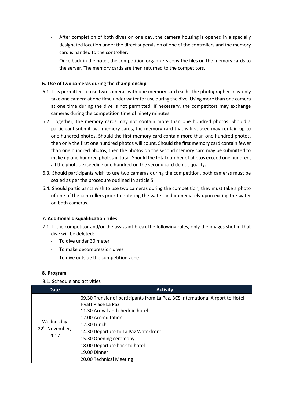- After completion of both dives on one day, the camera housing is opened in a specially designated location under the direct supervision of one of the controllers and the memory card is handed to the controller.
- Once back in the hotel, the competition organizers copy the files on the memory cards to the server. The memory cards are then returned to the competitors.

# **6. Use of two cameras during the championship**

- 6.1. It is permitted to use two cameras with one memory card each. The photographer may only take one camera at one time under water for use during the dive. Using more than one camera at one time during the dive is not permitted. If necessary, the competitors may exchange cameras during the competition time of ninety minutes.
- 6.2. Together, the memory cards may not contain more than one hundred photos. Should a participant submit two memory cards, the memory card that is first used may contain up to one hundred photos. Should the first memory card contain more than one hundred photos, then only the first one hundred photos will count. Should the first memory card contain fewer than one hundred photos, then the photos on the second memory card may be submitted to make up one hundred photos in total. Should the total number of photos exceed one hundred, all the photos exceeding one hundred on the second card do not qualify.
- 6.3. Should participants wish to use two cameras during the competition, both cameras must be sealed as per the procedure outlined in article 5.
- 6.4. Should participants wish to use two cameras during the competition, they must take a photo of one of the controllers prior to entering the water and immediately upon exiting the water on both cameras.

# **7. Additional disqualification rules**

- 7.1. If the competitor and/or the assistant break the following rules, only the images shot in that dive will be deleted:
	- To dive under 30 meter
	- To make decompression dives
	- To dive outside the competition zone

# **8. Program**

# 8.1. Schedule and activities

| <b>Date</b>                                     | <b>Activity</b>                                                                                                                                                                                                                                                                                                              |  |
|-------------------------------------------------|------------------------------------------------------------------------------------------------------------------------------------------------------------------------------------------------------------------------------------------------------------------------------------------------------------------------------|--|
| Wednesday<br>22 <sup>th</sup> November,<br>2017 | 09.30 Transfer of participants from La Paz, BCS International Airport to Hotel<br>Hyatt Place La Paz<br>11.30 Arrival and check in hotel<br>12.00 Accreditation<br>12.30 Lunch<br>14.30 Departure to La Paz Waterfront<br>15.30 Opening ceremony<br>18.00 Departure back to hotel<br>19.00 Dinner<br>20.00 Technical Meeting |  |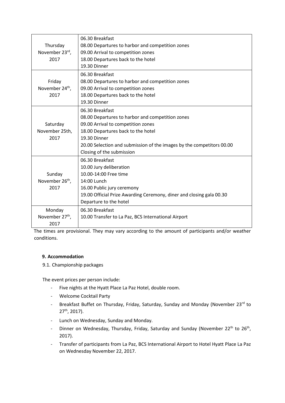|                             | 06.30 Breakfast                                                       |  |
|-----------------------------|-----------------------------------------------------------------------|--|
| Thursday                    | 08.00 Departures to harbor and competition zones                      |  |
| November 23rd,              | 09.00 Arrival to competition zones                                    |  |
| 2017                        | 18.00 Departures back to the hotel                                    |  |
|                             | 19.30 Dinner                                                          |  |
|                             | 06.30 Breakfast                                                       |  |
| Friday                      | 08.00 Departures to harbor and competition zones                      |  |
| November 24 <sup>th</sup> , | 09.00 Arrival to competition zones                                    |  |
| 2017                        | 18.00 Departures back to the hotel                                    |  |
|                             | 19.30 Dinner                                                          |  |
|                             | 06.30 Breakfast                                                       |  |
|                             | 08.00 Departures to harbor and competition zones                      |  |
| Saturday                    | 09.00 Arrival to competition zones                                    |  |
| November 25th,              | 18.00 Departures back to the hotel                                    |  |
| 2017                        | 19.30 Dinner                                                          |  |
|                             | 20.00 Selection and submission of the images by the competitors 00.00 |  |
|                             | Closing of the submission                                             |  |
|                             | 06.30 Breakfast                                                       |  |
|                             | 10.00 Jury deliberation                                               |  |
| Sunday                      | 10.00-14:00 Free time                                                 |  |
| November 26 <sup>th</sup> , | 14:00 Lunch                                                           |  |
| 2017                        | 16.00 Public jury ceremony                                            |  |
|                             | 19.00 Official Prize Awarding Ceremony, diner and closing gala 00.30  |  |
|                             | Departure to the hotel                                                |  |
| Monday                      | 06.30 Breakfast                                                       |  |
| November 27 <sup>th</sup> , | 10.00 Transfer to La Paz, BCS International Airport                   |  |
| 2017                        |                                                                       |  |

The times are provisional. They may vary according to the amount of participants and/or weather conditions.

# **9. Accommodation**

9.1. Championship packages

The event prices per person include:

- Five nights at the Hyatt Place La Paz Hotel, double room.
- Welcome Cocktail Party
- Breakfast Buffet on Thursday, Friday, Saturday, Sunday and Monday (November 23rd to 27th, 2017).
- Lunch on Wednesday, Sunday and Monday.
- Dinner on Wednesday, Thursday, Friday, Saturday and Sunday (November 22<sup>th</sup> to 26<sup>th</sup>, 2017).
- Transfer of participants from La Paz, BCS International Airport to Hotel Hyatt Place La Paz on Wednesday November 22, 2017.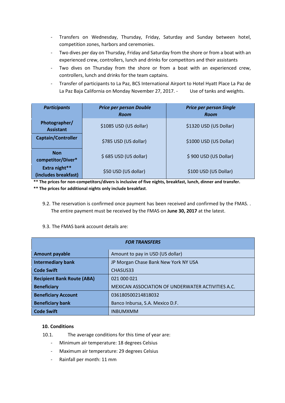- Transfers on Wednesday, Thursday, Friday, Saturday and Sunday between hotel, competition zones, harbors and ceremonies.
- Two dives per day on Thursday, Friday and Saturday from the shore or from a boat with an experienced crew, controllers, lunch and drinks for competitors and their assistants
- Two dives on Thursday from the shore or from a boat with an experienced crew, controllers, lunch and drinks for the team captains.
- Transfer of participants to La Paz, BCS International Airport to Hotel Hyatt Place La Paz de La Paz Baja California on Monday November 27, 2017. - Use of tanks and weights.

| <b>Participants</b>                   | <b>Price per person Double</b><br>Room | <b>Price per person Single</b><br>Room |
|---------------------------------------|----------------------------------------|----------------------------------------|
| Photographer/<br><b>Assistant</b>     | \$1085 USD (US dollar)                 | \$1320 USD (US Dollar)                 |
| Captain/Controller                    | \$785 USD (US dollar)                  | \$1000 USD (US Dollar)                 |
| <b>Non</b><br>competitor/Diver*       | \$685 USD (US dollar)                  | \$900 USD (US Dollar)                  |
| Extra night**<br>(includes breakfast) | \$50 USD (US dollar)                   | \$100 USD (US Dollar)                  |

**\*\* The prices for non-competitors/divers is inclusive of five nights, breakfast, lunch, dinner and transfer. \*\* The prices for additional nights only include breakfast**.

- 9.2. The reservation is confirmed once payment has been received and confirmed by the FMAS. . The entire payment must be received by the FMAS on **June 30, 2017** at the latest.
- 9.3. The FMAS bank account details are:

| <b>FOR TRANSFERS</b>              |                                                   |  |  |
|-----------------------------------|---------------------------------------------------|--|--|
| <b>Amount payable</b>             | Amount to pay in USD (US dollar)                  |  |  |
| <b>Intermediary bank</b>          | JP Morgan Chase Bank New York NY USA              |  |  |
| <b>Code Swift</b>                 | CHASUS33                                          |  |  |
| <b>Recipient Bank Route (ABA)</b> | 021 000 021                                       |  |  |
| <b>Beneficiary</b>                | MEXICAN ASSOCIATION OF UNDERWATER ACTIVITIES A.C. |  |  |
| <b>Beneficiary Account</b>        | 036180500214818032                                |  |  |
| <b>Beneficiary bank</b>           | Banco Inbursa, S.A. Mexico D.F.                   |  |  |
| <b>Code Swift</b>                 | <b>INBUMXMM</b>                                   |  |  |

# **10. Conditions**

- 10.1. The average conditions for this time of year are:
	- Minimum air temperature: 18 degrees Celsius
	- Maximum air temperature: 29 degrees Celsius
	- Rainfall per month: 11 mm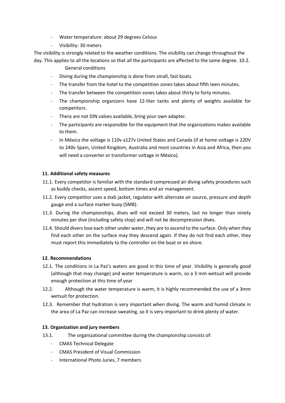- Water temperature: about 29 degrees Celsius
- Visibility: 30 meters

The visibility is strongly related to the weather conditions. The visibility can change throughout the day. This applies to all the locations so that all the participants are affected to the same degree. 10.2.

- General conditions
- Diving during the championship is done from small, fast boats.
- The transfer from the hotel to the competition zones takes about fifth teen minutes.
- The transfer between the competition zones takes about thirty to forty minutes.
- The championship organizers have 12-liter tanks and plenty of weights available for competitors.
- Thera are not DIN valves available, bring your own adapter.
- The participants are responsible for the equipment that the organizations makes available to them.
- In México the voltage is 110v a127v United States and Canada (if at home voltage is 220V to 240v Spain, United Kingdom, Australia and most countries in Asia and Africa, then you will need a converter or transformer voltage in México).

#### **11. Additional safety measures**

- 11.1. Every competitor is familiar with the standard compressed air diving safety procedures such as buddy checks, ascent speed, bottom times and air management.
- 11.2. Every competitor uses a stab jacket, regulator with alternate air source, pressure and depth gauge and a surface marker buoy (SMB).
- 11.3. During the championships, dives will not exceed 30 meters, last no longer than ninety minutes per dive (including safety stop) and will not be decompression dives.
- 11.4. Should divers lose each other under water, they are to ascend to the surface. Only when they find each other on the surface may they descend again. If they do not find each other, they must report this immediately to the controller on the boat or on shore.

#### **12. Recommendations**

- 12.1. The conditions in La Paz's waters are good in this time of year. Visibility is generally good (although that may change) and water temperature is warm, so a 3 mm wetsuit will provide enough protection at this time of year
- 12.2. Although the water temperature is warm, it is highly recommended the use of a 3mm wetsuit for protection.
- 12.3. Remember that hydration is very important when diving. The warm and humid climate in the area of La Paz can increase sweating, so it is very important to drink plenty of water.

#### **13. Organization and jury members**

- 13.1. The organizational committee during the championship consists of:
	- CMAS Technical Delegate
	- CMAS President of Visual Commission
	- International Photo Juries, 7 members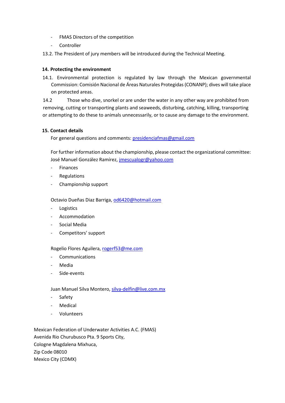- FMAS Directors of the competition
- Controller
- 13.2. The President of jury members will be introduced during the Technical Meeting.

#### **14. Protecting the environment**

14.1. Environmental protection is regulated by law through the Mexican governmental Commission: Comisión Nacional de Áreas Naturales Protegidas (CONANP); dives will take place on protected areas.

14.2 Those who dive, snorkel or are under the water in any other way are prohibited from removing, cutting or transporting plants and seaweeds, disturbing, catching, killing, transporting or attempting to do these to animals unnecessarily, or to cause any damage to the environment.

#### **15. Contact details**

For general questions and comments: presidenciafmas@gmail.com

For further information about the championship, please contact the organizational committee: José Manuel González Ramírez, *jmescualogr@yahoo.com* 

- Finances
- **Regulations**
- Championship support

Octavio Dueñas Diaz Barriga, od6420@hotmail.com

- **Logistics**
- **Accommodation**
- Social Media
- Competitors' support

#### Rogelio Flores Aguilera, rogerf53@me.com

- **Communications**
- **Media**
- Side-events

Juan Manuel Silva Montero, silva-delfin@live.com.mx

- Safety
- **Medical**
- Volunteers

Mexican Federation of Underwater Activities A.C. (FMAS) Avenida Rio Churubusco Pta. 9 Sports City, Cologne Magdalena Mixhuca, Zip Code 08010 Mexico City (CDMX)